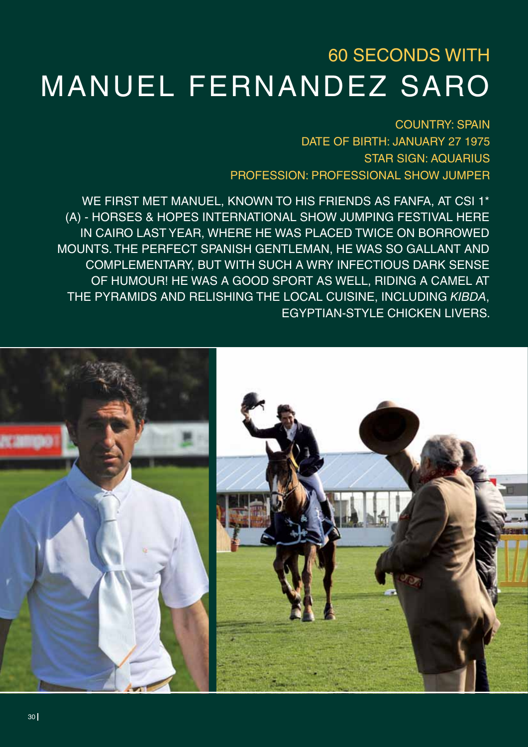## 60 SECONDS WITH Manuel Fernandez Saro

**COUNTRY: SPAIN** DATE OF BIRTH: JANUARY 27 1975 STAR SIGN: Aquarius PROFESSION: Professional Show Jumper

We first met Manuel, known to his friends as Fanfa, at CSI 1\* (A) - HORSES & HOPES International Show Jumping Festival here in Cairo last year, where he was placed twice on borrowed mounts. The perfect Spanish gentleman, he was so gallant and complementary, but with such a wry infectious dark sense of humour! He was a good sport as well, riding a camel at the Pyramids and relishing the local cuisine, including *kibda*, Egyptian-style chicken livers.